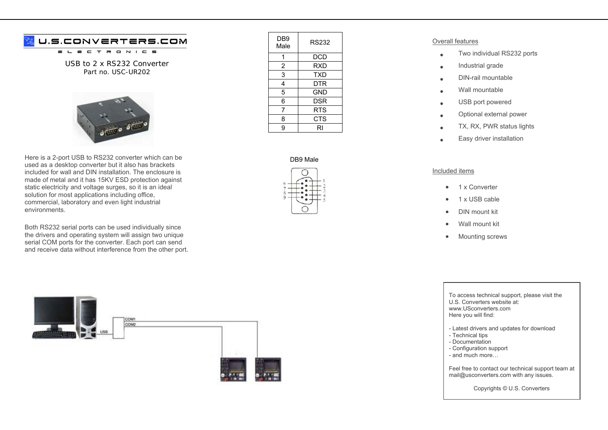## U.S.CONVERTERS.COM

 $\equiv$  $\tau$  $\overline{\phantom{a}}$  $\qquad \qquad \blacksquare$  $N$   $I$   $C$   $S$ 

USB to 2 x RS232 Converter Part no. USC-UR202



Here is a 2-port USB to RS232 converter which can be used as a desktop converter but it also has brackets included for wall and DIN installation. The enclosure is made of metal and it has 15KV ESD protection against static electricity and voltage surges, so it is an ideal solution for most applications including office, commercial, laboratory and even light industrial environments.

Both RS232 serial ports can be used individually since the drivers and operating system will assign two unique serial COM ports for the converter. Each port can send and receive data without interference from the other port.



| DB9<br>Male    | RS232      |
|----------------|------------|
|                | <b>DCD</b> |
| $\overline{c}$ | <b>RXD</b> |
| 3              | <b>TXD</b> |
| 4              | DTR        |
| 5              | <b>GND</b> |
| 6              | <b>DSR</b> |
| 7              | RTS        |
| 8              | <b>CTS</b> |
| 9              | RI         |

## DB9 Male



## Overall features

- •Two individual RS232 ports
- •Industrial grade
- •DIN-rail mountable
- •Wall mountable
- •USB port powered
- •Optional external power
- •TX, RX, PWR status lights
- •Easy driver installation

## Included items

- •1 x Converter
- •1 x USB cable
- •DIN mount kit
- •Wall mount kit
- •Mounting screws

To access technical support, please visit the U.S. Converters website at: www.USconverters.com Here you will find:

- Latest drivers and updates for download
- Technical tips
- Documentation
- Configuration support
- and much more…

Feel free to contact our technical support team at mail@usconverters.com with any issues.

Copyrights © U.S. Converters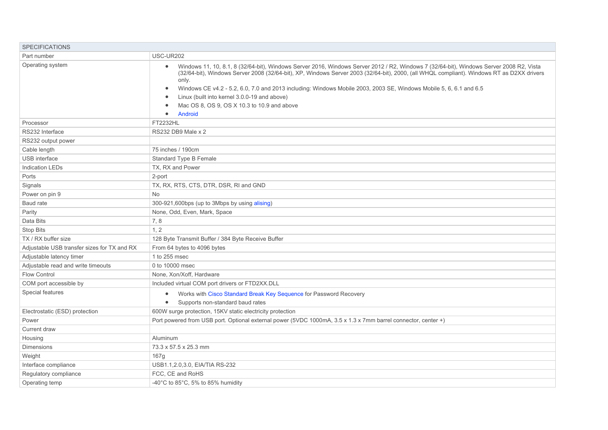| <b>SPECIFICATIONS</b>                       |                                                                                                                                                                                                                                                                                                                                                                                                                                                                                                                                                                                                |
|---------------------------------------------|------------------------------------------------------------------------------------------------------------------------------------------------------------------------------------------------------------------------------------------------------------------------------------------------------------------------------------------------------------------------------------------------------------------------------------------------------------------------------------------------------------------------------------------------------------------------------------------------|
| Part number                                 | USC-UR202                                                                                                                                                                                                                                                                                                                                                                                                                                                                                                                                                                                      |
| Operating system                            | Windows 11, 10, 8.1, 8 (32/64-bit), Windows Server 2016, Windows Server 2012 / R2, Windows 7 (32/64-bit), Windows Server 2008 R2, Vista<br>$\bullet$<br>(32/64-bit), Windows Server 2008 (32/64-bit), XP, Windows Server 2003 (32/64-bit), 2000, (all WHQL compliant). Windows RT as D2XX drivers<br>only.<br>Windows CE v4.2 - 5.2, 6.0, 7.0 and 2013 including: Windows Mobile 2003, 2003 SE, Windows Mobile 5, 6, 6.1 and 6.5<br>$\bullet$<br>Linux (built into kernel 3.0.0-19 and above)<br>$\bullet$<br>Mac OS 8, OS 9, OS X 10.3 to 10.9 and above<br>$\bullet$<br>Android<br>$\bullet$ |
| Processor                                   | FT2232HL                                                                                                                                                                                                                                                                                                                                                                                                                                                                                                                                                                                       |
| RS232 Interface                             | RS232 DB9 Male x 2                                                                                                                                                                                                                                                                                                                                                                                                                                                                                                                                                                             |
| RS232 output power                          |                                                                                                                                                                                                                                                                                                                                                                                                                                                                                                                                                                                                |
| Cable length                                | 75 inches / 190cm                                                                                                                                                                                                                                                                                                                                                                                                                                                                                                                                                                              |
| <b>USB</b> interface                        | <b>Standard Type B Female</b>                                                                                                                                                                                                                                                                                                                                                                                                                                                                                                                                                                  |
| <b>Indication LEDs</b>                      | TX, RX and Power                                                                                                                                                                                                                                                                                                                                                                                                                                                                                                                                                                               |
| Ports                                       | 2-port                                                                                                                                                                                                                                                                                                                                                                                                                                                                                                                                                                                         |
| Signals                                     | TX, RX, RTS, CTS, DTR, DSR, RI and GND                                                                                                                                                                                                                                                                                                                                                                                                                                                                                                                                                         |
| Power on pin 9                              | <b>No</b>                                                                                                                                                                                                                                                                                                                                                                                                                                                                                                                                                                                      |
| Baud rate                                   | 300-921,600bps (up to 3Mbps by using alising)                                                                                                                                                                                                                                                                                                                                                                                                                                                                                                                                                  |
| Parity                                      | None, Odd, Even, Mark, Space                                                                                                                                                                                                                                                                                                                                                                                                                                                                                                                                                                   |
| Data Bits                                   | 7,8                                                                                                                                                                                                                                                                                                                                                                                                                                                                                                                                                                                            |
| <b>Stop Bits</b>                            | 1.2                                                                                                                                                                                                                                                                                                                                                                                                                                                                                                                                                                                            |
| TX / RX buffer size                         | 128 Byte Transmit Buffer / 384 Byte Receive Buffer                                                                                                                                                                                                                                                                                                                                                                                                                                                                                                                                             |
| Adjustable USB transfer sizes for TX and RX | From 64 bytes to 4096 bytes                                                                                                                                                                                                                                                                                                                                                                                                                                                                                                                                                                    |
| Adjustable latency timer                    | 1 to 255 msec                                                                                                                                                                                                                                                                                                                                                                                                                                                                                                                                                                                  |
| Adjustable read and write timeouts          | 0 to 10000 msec                                                                                                                                                                                                                                                                                                                                                                                                                                                                                                                                                                                |
| <b>Flow Control</b>                         | None, Xon/Xoff, Hardware                                                                                                                                                                                                                                                                                                                                                                                                                                                                                                                                                                       |
| COM port accessible by                      | Included virtual COM port drivers or FTD2XX.DLL                                                                                                                                                                                                                                                                                                                                                                                                                                                                                                                                                |
| Special features                            | Works with Cisco Standard Break Key Sequence for Password Recovery<br>$\bullet$<br>Supports non-standard baud rates<br>$\bullet$                                                                                                                                                                                                                                                                                                                                                                                                                                                               |
| Electrostatic (ESD) protection              | 600W surge protection, 15KV static electricity protection                                                                                                                                                                                                                                                                                                                                                                                                                                                                                                                                      |
| Power                                       | Port powered from USB port. Optional external power (5VDC 1000mA, 3.5 x 1.3 x 7mm barrel connector, center +)                                                                                                                                                                                                                                                                                                                                                                                                                                                                                  |
| Current draw                                |                                                                                                                                                                                                                                                                                                                                                                                                                                                                                                                                                                                                |
| Housing                                     | Aluminum                                                                                                                                                                                                                                                                                                                                                                                                                                                                                                                                                                                       |
| <b>Dimensions</b>                           | 73.3 x 57.5 x 25.3 mm                                                                                                                                                                                                                                                                                                                                                                                                                                                                                                                                                                          |
| Weight                                      | 167g                                                                                                                                                                                                                                                                                                                                                                                                                                                                                                                                                                                           |
| Interface compliance                        | USB1.1, 2.0, 3.0, EIA/TIA RS-232                                                                                                                                                                                                                                                                                                                                                                                                                                                                                                                                                               |
| Regulatory compliance                       | FCC, CE and RoHS                                                                                                                                                                                                                                                                                                                                                                                                                                                                                                                                                                               |
| Operating temp                              | $-40^{\circ}$ C to 85 $^{\circ}$ C, 5% to 85% humidity                                                                                                                                                                                                                                                                                                                                                                                                                                                                                                                                         |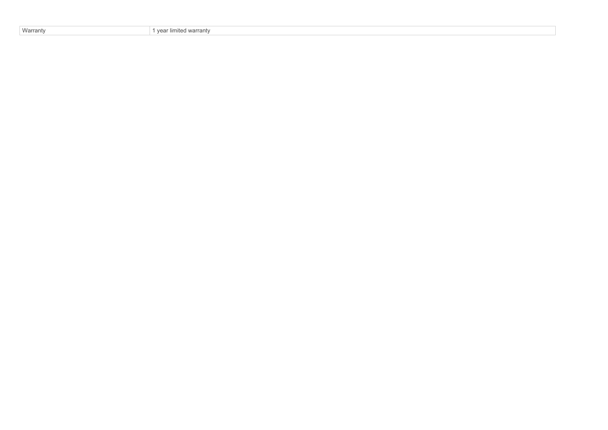| Warranty<br>$\sqrt{2}$ | .<br>warranty<br>… limite∼ |
|------------------------|----------------------------|
|------------------------|----------------------------|